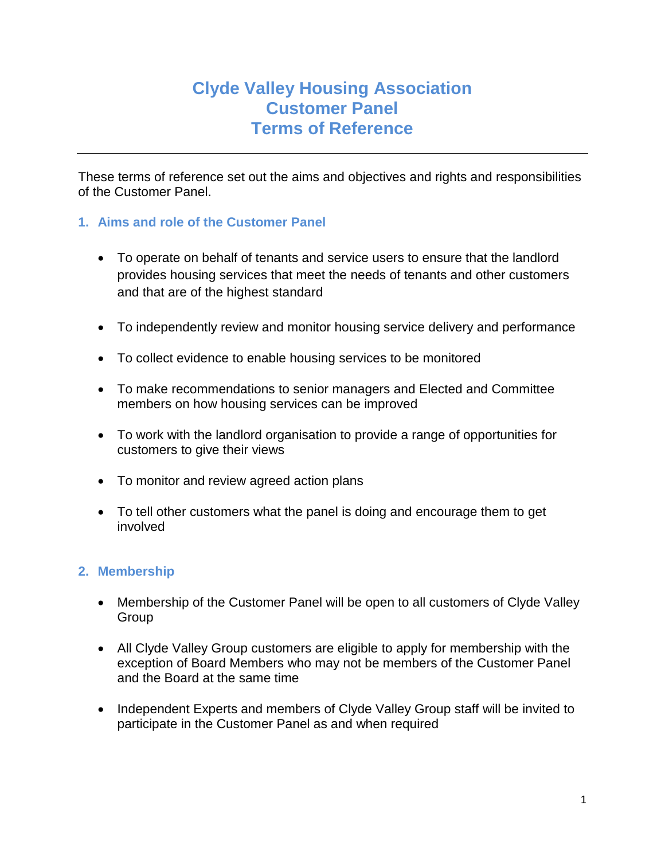# **Clyde Valley Housing Association Customer Panel Terms of Reference**

These terms of reference set out the aims and objectives and rights and responsibilities of the Customer Panel.

# **1. Aims and role of the Customer Panel**

- To operate on behalf of tenants and service users to ensure that the landlord provides housing services that meet the needs of tenants and other customers and that are of the highest standard
- To independently review and monitor housing service delivery and performance
- To collect evidence to enable housing services to be monitored
- To make recommendations to senior managers and Elected and Committee members on how housing services can be improved
- To work with the landlord organisation to provide a range of opportunities for customers to give their views
- To monitor and review agreed action plans
- To tell other customers what the panel is doing and encourage them to get involved

#### **2. Membership**

- Membership of the Customer Panel will be open to all customers of Clyde Valley Group
- All Clyde Valley Group customers are eligible to apply for membership with the exception of Board Members who may not be members of the Customer Panel and the Board at the same time
- Independent Experts and members of Clyde Valley Group staff will be invited to participate in the Customer Panel as and when required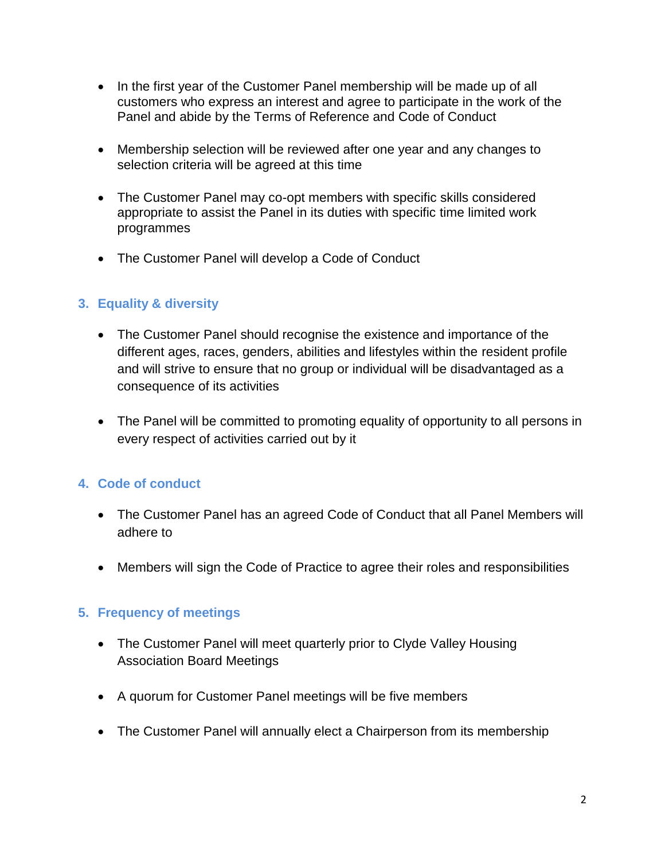- In the first year of the Customer Panel membership will be made up of all customers who express an interest and agree to participate in the work of the Panel and abide by the Terms of Reference and Code of Conduct
- Membership selection will be reviewed after one year and any changes to selection criteria will be agreed at this time
- The Customer Panel may co-opt members with specific skills considered appropriate to assist the Panel in its duties with specific time limited work programmes
- The Customer Panel will develop a Code of Conduct

# **3. Equality & diversity**

- The Customer Panel should recognise the existence and importance of the different ages, races, genders, abilities and lifestyles within the resident profile and will strive to ensure that no group or individual will be disadvantaged as a consequence of its activities
- The Panel will be committed to promoting equality of opportunity to all persons in every respect of activities carried out by it

# **4. Code of conduct**

- The Customer Panel has an agreed Code of Conduct that all Panel Members will adhere to
- Members will sign the Code of Practice to agree their roles and responsibilities

#### **5. Frequency of meetings**

- The Customer Panel will meet quarterly prior to Clyde Valley Housing Association Board Meetings
- A quorum for Customer Panel meetings will be five members
- The Customer Panel will annually elect a Chairperson from its membership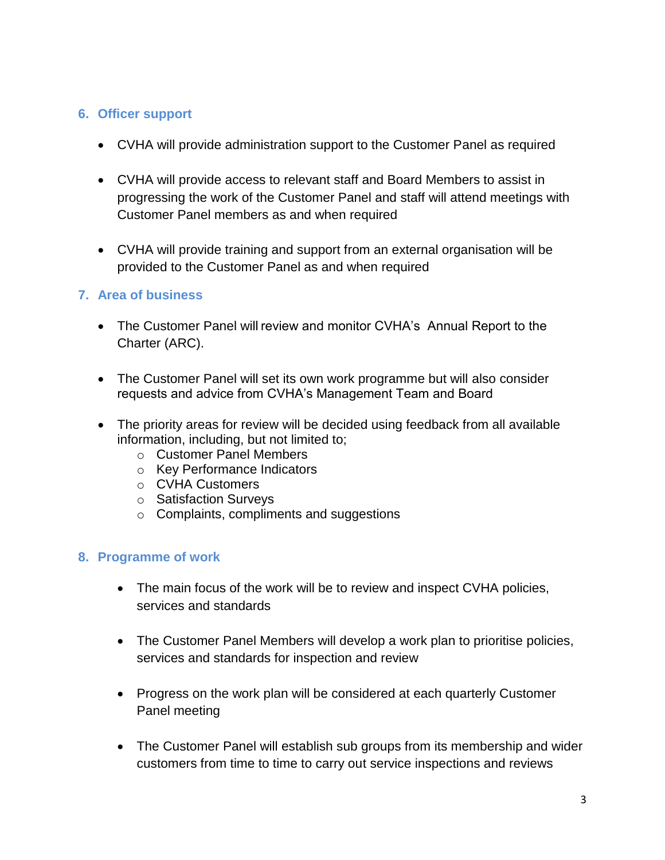#### **6. Officer support**

- CVHA will provide administration support to the Customer Panel as required
- CVHA will provide access to relevant staff and Board Members to assist in progressing the work of the Customer Panel and staff will attend meetings with Customer Panel members as and when required
- CVHA will provide training and support from an external organisation will be provided to the Customer Panel as and when required

#### **7. Area of business**

- The Customer Panel will review and monitor CVHA's Annual Report to the Charter (ARC).
- The Customer Panel will set its own work programme but will also consider requests and advice from CVHA's Management Team and Board
- The priority areas for review will be decided using feedback from all available information, including, but not limited to;
	- o Customer Panel Members
	- o Key Performance Indicators
	- o CVHA Customers
	- o Satisfaction Surveys
	- o Complaints, compliments and suggestions

#### **8. Programme of work**

- The main focus of the work will be to review and inspect CVHA policies, services and standards
- The Customer Panel Members will develop a work plan to prioritise policies, services and standards for inspection and review
- Progress on the work plan will be considered at each quarterly Customer Panel meeting
- The Customer Panel will establish sub groups from its membership and wider customers from time to time to carry out service inspections and reviews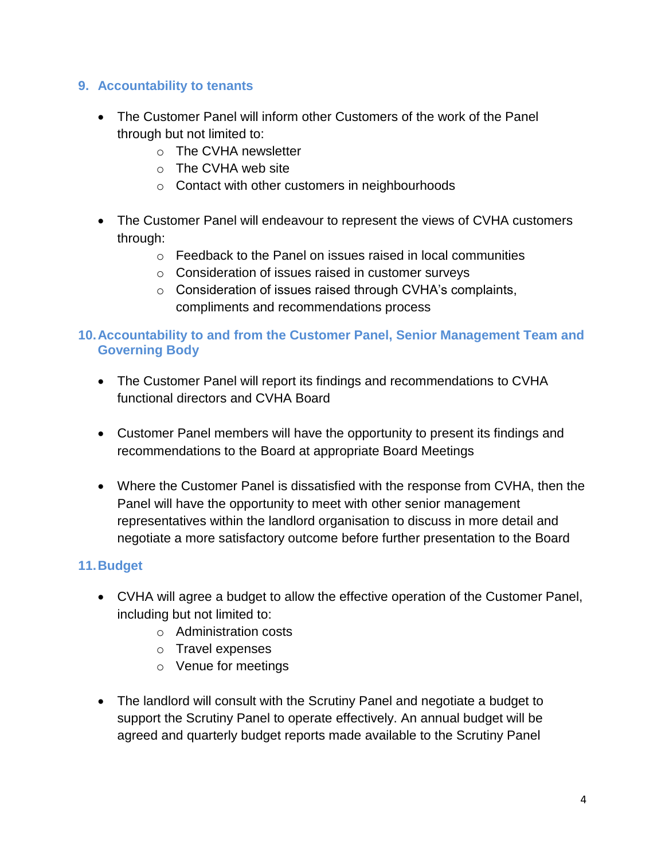## **9. Accountability to tenants**

- The Customer Panel will inform other Customers of the work of the Panel through but not limited to:
	- o The CVHA newsletter
	- o The CVHA web site
	- o Contact with other customers in neighbourhoods
- The Customer Panel will endeavour to represent the views of CVHA customers through:
	- $\circ$  Feedback to the Panel on issues raised in local communities
	- o Consideration of issues raised in customer surveys
	- $\circ$  Consideration of issues raised through CVHA's complaints, compliments and recommendations process

## **10.Accountability to and from the Customer Panel, Senior Management Team and Governing Body**

- The Customer Panel will report its findings and recommendations to CVHA functional directors and CVHA Board
- Customer Panel members will have the opportunity to present its findings and recommendations to the Board at appropriate Board Meetings
- Where the Customer Panel is dissatisfied with the response from CVHA, then the Panel will have the opportunity to meet with other senior management representatives within the landlord organisation to discuss in more detail and negotiate a more satisfactory outcome before further presentation to the Board

# **11.Budget**

- CVHA will agree a budget to allow the effective operation of the Customer Panel, including but not limited to:
	- o Administration costs
	- o Travel expenses
	- o Venue for meetings
- The landlord will consult with the Scrutiny Panel and negotiate a budget to support the Scrutiny Panel to operate effectively. An annual budget will be agreed and quarterly budget reports made available to the Scrutiny Panel